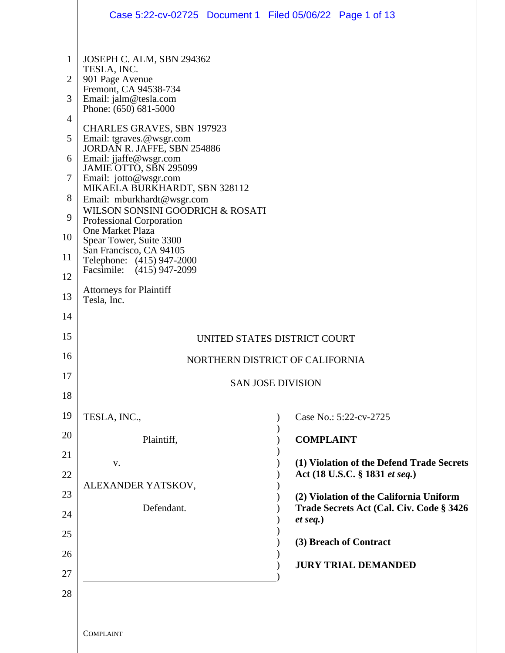|                                                                                       | Case 5:22-cv-02725 Document 1 Filed 05/06/22 Page 1 of 13                                                                                                                                                                                                                                                                                                                                                                                                                                                                                                                                                                       |                                                                                     |
|---------------------------------------------------------------------------------------|---------------------------------------------------------------------------------------------------------------------------------------------------------------------------------------------------------------------------------------------------------------------------------------------------------------------------------------------------------------------------------------------------------------------------------------------------------------------------------------------------------------------------------------------------------------------------------------------------------------------------------|-------------------------------------------------------------------------------------|
| 1<br>$\overline{2}$<br>3<br>4<br>5<br>6<br>$\overline{7}$<br>8<br>9<br>10<br>11<br>12 | JOSEPH C. ALM, SBN 294362<br>TESLA, INC.<br>901 Page Avenue<br>Fremont, CA 94538-734<br>Email: jalm@tesla.com<br>Phone: (650) 681-5000<br><b>CHARLES GRAVES, SBN 197923</b><br>Email: tgraves.@wsgr.com<br>JORDAN R. JAFFE, SBN 254886<br>Email: jjaffe@wsgr.com<br>JAMIE OTTO, SBN 295099<br>Email: jotto@wsgr.com<br>MIKAELA BURKHARDT, SBN 328112<br>Email: mburkhardt@wsgr.com<br>WILSON SONSINI GOODRICH & ROSATI<br><b>Professional Corporation</b><br>One Market Plaza<br>Spear Tower, Suite 3300<br>San Francisco, CA 94105<br>Telephone: (415) 947-2000<br>Facsimile: (415) 947-2099<br><b>Attorneys for Plaintiff</b> |                                                                                     |
| 13<br>14                                                                              | Tesla, Inc.                                                                                                                                                                                                                                                                                                                                                                                                                                                                                                                                                                                                                     |                                                                                     |
| 15                                                                                    |                                                                                                                                                                                                                                                                                                                                                                                                                                                                                                                                                                                                                                 |                                                                                     |
| 16                                                                                    | UNITED STATES DISTRICT COURT<br>NORTHERN DISTRICT OF CALIFORNIA                                                                                                                                                                                                                                                                                                                                                                                                                                                                                                                                                                 |                                                                                     |
| 17                                                                                    |                                                                                                                                                                                                                                                                                                                                                                                                                                                                                                                                                                                                                                 | <b>SAN JOSE DIVISION</b>                                                            |
| 18                                                                                    |                                                                                                                                                                                                                                                                                                                                                                                                                                                                                                                                                                                                                                 |                                                                                     |
| 19                                                                                    | TESLA, INC.,                                                                                                                                                                                                                                                                                                                                                                                                                                                                                                                                                                                                                    | Case No.: 5:22-cv-2725                                                              |
| 20                                                                                    | Plaintiff,                                                                                                                                                                                                                                                                                                                                                                                                                                                                                                                                                                                                                      | <b>COMPLAINT</b>                                                                    |
| 21                                                                                    | V.                                                                                                                                                                                                                                                                                                                                                                                                                                                                                                                                                                                                                              | (1) Violation of the Defend Trade Secrets                                           |
| 22                                                                                    | ALEXANDER YATSKOV,                                                                                                                                                                                                                                                                                                                                                                                                                                                                                                                                                                                                              | Act (18 U.S.C. § 1831 et seq.)                                                      |
| 23                                                                                    | Defendant.                                                                                                                                                                                                                                                                                                                                                                                                                                                                                                                                                                                                                      | (2) Violation of the California Uniform<br>Trade Secrets Act (Cal. Civ. Code § 3426 |
| 24<br>25                                                                              |                                                                                                                                                                                                                                                                                                                                                                                                                                                                                                                                                                                                                                 | $et seq.$ )                                                                         |
| 26                                                                                    |                                                                                                                                                                                                                                                                                                                                                                                                                                                                                                                                                                                                                                 | (3) Breach of Contract                                                              |
| 27                                                                                    |                                                                                                                                                                                                                                                                                                                                                                                                                                                                                                                                                                                                                                 | <b>JURY TRIAL DEMANDED</b>                                                          |
| 28                                                                                    |                                                                                                                                                                                                                                                                                                                                                                                                                                                                                                                                                                                                                                 |                                                                                     |
|                                                                                       |                                                                                                                                                                                                                                                                                                                                                                                                                                                                                                                                                                                                                                 |                                                                                     |
|                                                                                       | <b>COMPLAINT</b>                                                                                                                                                                                                                                                                                                                                                                                                                                                                                                                                                                                                                |                                                                                     |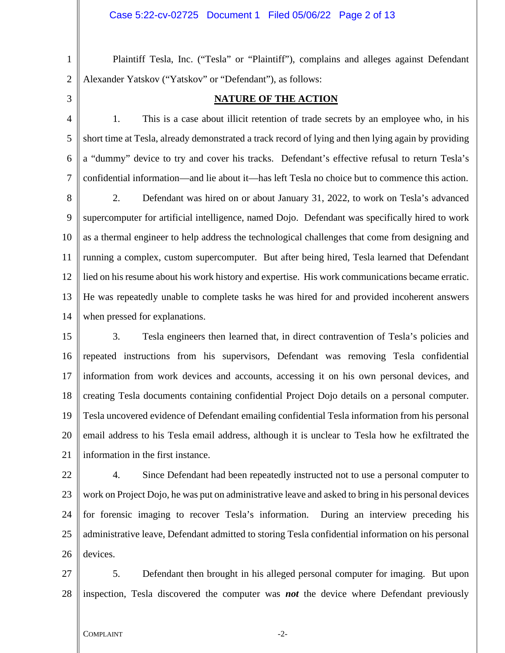Plaintiff Tesla, Inc. ("Tesla" or "Plaintiff"), complains and alleges against Defendant Alexander Yatskov ("Yatskov" or "Defendant"), as follows:

3

1

2

## **NATURE OF THE ACTION**

4 5 6 7 1. This is a case about illicit retention of trade secrets by an employee who, in his short time at Tesla, already demonstrated a track record of lying and then lying again by providing a "dummy" device to try and cover his tracks. Defendant's effective refusal to return Tesla's confidential information—and lie about it—has left Tesla no choice but to commence this action.

8 9 10 11 12 13 14 2. Defendant was hired on or about January 31, 2022, to work on Tesla's advanced supercomputer for artificial intelligence, named Dojo. Defendant was specifically hired to work as a thermal engineer to help address the technological challenges that come from designing and running a complex, custom supercomputer. But after being hired, Tesla learned that Defendant lied on his resume about his work history and expertise. His work communications became erratic. He was repeatedly unable to complete tasks he was hired for and provided incoherent answers when pressed for explanations.

15 16 17 18 19 20 21 3. Tesla engineers then learned that, in direct contravention of Tesla's policies and repeated instructions from his supervisors, Defendant was removing Tesla confidential information from work devices and accounts, accessing it on his own personal devices, and creating Tesla documents containing confidential Project Dojo details on a personal computer. Tesla uncovered evidence of Defendant emailing confidential Tesla information from his personal email address to his Tesla email address, although it is unclear to Tesla how he exfiltrated the information in the first instance.

22 23 24 25 26 4. Since Defendant had been repeatedly instructed not to use a personal computer to work on Project Dojo, he was put on administrative leave and asked to bring in his personal devices for forensic imaging to recover Tesla's information. During an interview preceding his administrative leave, Defendant admitted to storing Tesla confidential information on his personal devices.

27 28 5. Defendant then brought in his alleged personal computer for imaging. But upon inspection, Tesla discovered the computer was *not* the device where Defendant previously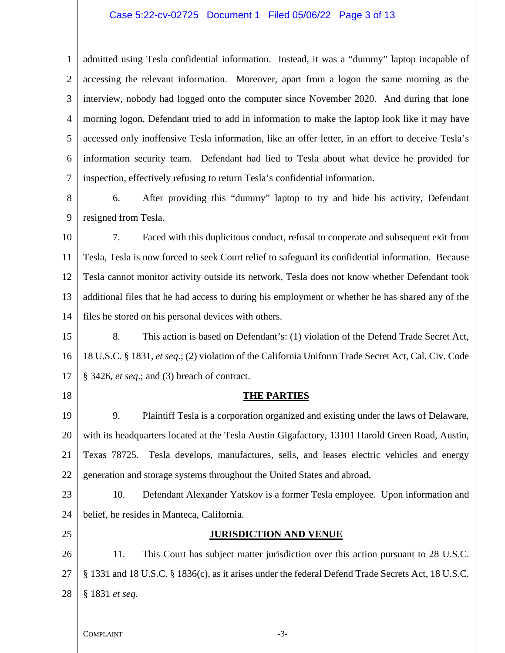## Case 5:22-cv-02725 Document 1 Filed 05/06/22 Page 3 of 13

1 2 3 4 5 6 7 admitted using Tesla confidential information. Instead, it was a "dummy" laptop incapable of accessing the relevant information. Moreover, apart from a logon the same morning as the interview, nobody had logged onto the computer since November 2020. And during that lone morning logon, Defendant tried to add in information to make the laptop look like it may have accessed only inoffensive Tesla information, like an offer letter, in an effort to deceive Tesla's information security team. Defendant had lied to Tesla about what device he provided for inspection, effectively refusing to return Tesla's confidential information.

8 9 6. After providing this "dummy" laptop to try and hide his activity, Defendant resigned from Tesla.

10 11 12 13 14 7. Faced with this duplicitous conduct, refusal to cooperate and subsequent exit from Tesla, Tesla is now forced to seek Court relief to safeguard its confidential information. Because Tesla cannot monitor activity outside its network, Tesla does not know whether Defendant took additional files that he had access to during his employment or whether he has shared any of the files he stored on his personal devices with others.

15 16 17 8. This action is based on Defendant's: (1) violation of the Defend Trade Secret Act, 18 U.S.C. § 1831, *et seq*.; (2) violation of the California Uniform Trade Secret Act, Cal. Civ. Code § 3426, *et seq*.; and (3) breach of contract.

18

### **THE PARTIES**

19 20 21 22 9. Plaintiff Tesla is a corporation organized and existing under the laws of Delaware, with its headquarters located at the Tesla Austin Gigafactory, 13101 Harold Green Road, Austin, Texas 78725. Tesla develops, manufactures, sells, and leases electric vehicles and energy generation and storage systems throughout the United States and abroad.

23 24 10. Defendant Alexander Yatskov is a former Tesla employee. Upon information and belief, he resides in Manteca, California.

25

### **JURISDICTION AND VENUE**

26 27 28 11. This Court has subject matter jurisdiction over this action pursuant to 28 U.S.C. § 1331 and 18 U.S.C. § 1836(c), as it arises under the federal Defend Trade Secrets Act, 18 U.S.C. § 1831 *et seq.*

COMPLAINT  $-3$ -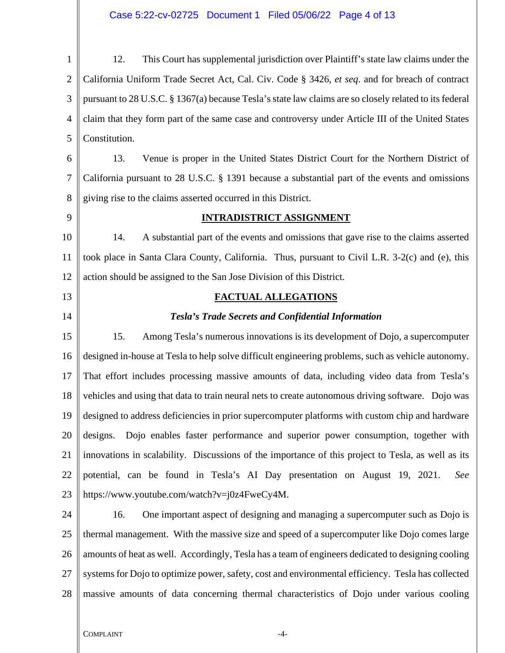# Case 5:22-cv-02725 Document 1 Filed 05/06/22 Page 4 of 13

| $\mathbf{1}$   | This Court has supplemental jurisdiction over Plaintiff's state law claims under the<br>12.            |  |
|----------------|--------------------------------------------------------------------------------------------------------|--|
| $\overline{2}$ | California Uniform Trade Secret Act, Cal. Civ. Code § 3426, et seq. and for breach of contract         |  |
| 3              | pursuant to 28 U.S.C. § 1367(a) because Tesla's state law claims are so closely related to its federal |  |
| $\overline{4}$ | claim that they form part of the same case and controversy under Article III of the United States      |  |
| 5              | Constitution.                                                                                          |  |
| 6              | Venue is proper in the United States District Court for the Northern District of<br>13.                |  |
| $\tau$         | California pursuant to 28 U.S.C. § 1391 because a substantial part of the events and omissions         |  |
| 8              | giving rise to the claims asserted occurred in this District.                                          |  |
| 9              | <b>INTRADISTRICT ASSIGNMENT</b>                                                                        |  |
| 10             | A substantial part of the events and omissions that gave rise to the claims asserted<br>14.            |  |
| 11             | took place in Santa Clara County, California. Thus, pursuant to Civil L.R. 3-2(c) and (e), this        |  |
| 12             | action should be assigned to the San Jose Division of this District.                                   |  |
| 13             | <b>FACTUAL ALLEGATIONS</b>                                                                             |  |
| 14             | <b>Tesla's Trade Secrets and Confidential Information</b>                                              |  |
| 15             | 15.<br>Among Tesla's numerous innovations is its development of Dojo, a supercomputer                  |  |
| 16             | designed in-house at Tesla to help solve difficult engineering problems, such as vehicle autonomy.     |  |
| 17             | That effort includes processing massive amounts of data, including video data from Tesla's             |  |
| 18             | vehicles and using that data to train neural nets to create autonomous driving software. Dojo was      |  |
| 19             | designed to address deficiencies in prior supercomputer platforms with custom chip and hardware        |  |
| 20             | Dojo enables faster performance and superior power consumption, together with<br>designs.              |  |
| 21             | innovations in scalability. Discussions of the importance of this project to Tesla, as well as its     |  |
| 22             | potential, can be found in Tesla's AI Day presentation on August 19, 2021.<br>See                      |  |
| 23             | https://www.youtube.com/watch?v=j0z4FweCy4M.                                                           |  |
| 24             | 16.<br>One important aspect of designing and managing a supercomputer such as Dojo is                  |  |
| 25             | thermal management. With the massive size and speed of a supercomputer like Dojo comes large           |  |
| 26             | amounts of heat as well. Accordingly, Tesla has a team of engineers dedicated to designing cooling     |  |
| 27             | systems for Dojo to optimize power, safety, cost and environmental efficiency. Tesla has collected     |  |
| 28             | massive amounts of data concerning thermal characteristics of Dojo under various cooling               |  |
|                |                                                                                                        |  |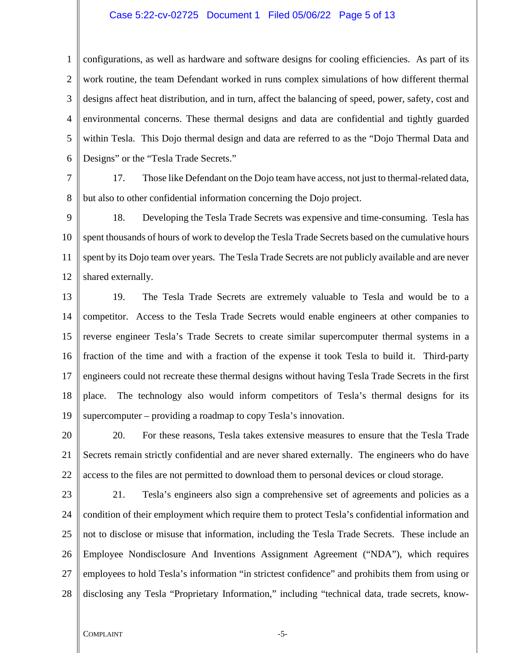#### Case 5:22-cv-02725 Document 1 Filed 05/06/22 Page 5 of 13

1  $\mathcal{L}$ 3 4 5 6 configurations, as well as hardware and software designs for cooling efficiencies. As part of its work routine, the team Defendant worked in runs complex simulations of how different thermal designs affect heat distribution, and in turn, affect the balancing of speed, power, safety, cost and environmental concerns. These thermal designs and data are confidential and tightly guarded within Tesla. This Dojo thermal design and data are referred to as the "Dojo Thermal Data and Designs" or the "Tesla Trade Secrets."

7

8 17. Those like Defendant on the Dojo team have access, not just to thermal-related data, but also to other confidential information concerning the Dojo project.

9

10 11 12 18. Developing the Tesla Trade Secrets was expensive and time-consuming. Tesla has spent thousands of hours of work to develop the Tesla Trade Secrets based on the cumulative hours spent by its Dojo team over years. The Tesla Trade Secrets are not publicly available and are never shared externally.

13 14 15 16 17 18 19 19. The Tesla Trade Secrets are extremely valuable to Tesla and would be to a competitor. Access to the Tesla Trade Secrets would enable engineers at other companies to reverse engineer Tesla's Trade Secrets to create similar supercomputer thermal systems in a fraction of the time and with a fraction of the expense it took Tesla to build it. Third-party engineers could not recreate these thermal designs without having Tesla Trade Secrets in the first place. The technology also would inform competitors of Tesla's thermal designs for its supercomputer – providing a roadmap to copy Tesla's innovation.

20 21 22 20. For these reasons, Tesla takes extensive measures to ensure that the Tesla Trade Secrets remain strictly confidential and are never shared externally. The engineers who do have access to the files are not permitted to download them to personal devices or cloud storage.

23 24 25 26 27 28 21. Tesla's engineers also sign a comprehensive set of agreements and policies as a condition of their employment which require them to protect Tesla's confidential information and not to disclose or misuse that information, including the Tesla Trade Secrets. These include an Employee Nondisclosure And Inventions Assignment Agreement ("NDA"), which requires employees to hold Tesla's information "in strictest confidence" and prohibits them from using or disclosing any Tesla "Proprietary Information," including "technical data, trade secrets, know-

#### COMPLAINT  $-5$ -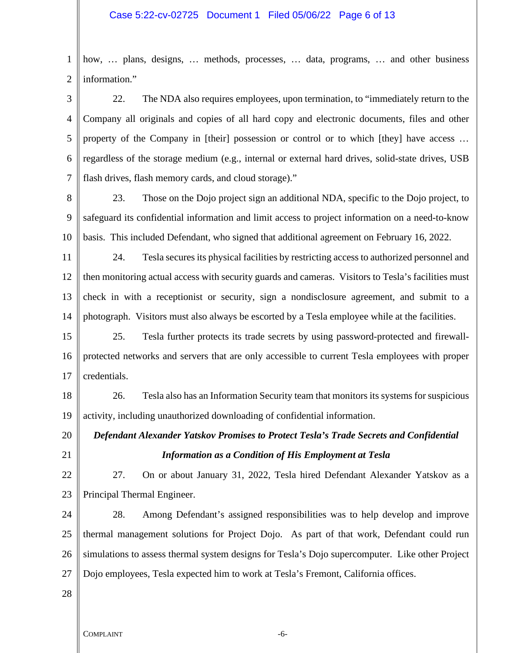1 2 how, … plans, designs, … methods, processes, … data, programs, … and other business information."

3 4 5 6 7 22. The NDA also requires employees, upon termination, to "immediately return to the Company all originals and copies of all hard copy and electronic documents, files and other property of the Company in [their] possession or control or to which [they] have access … regardless of the storage medium (e.g., internal or external hard drives, solid-state drives, USB flash drives, flash memory cards, and cloud storage)."

8 9 10 23. Those on the Dojo project sign an additional NDA, specific to the Dojo project, to safeguard its confidential information and limit access to project information on a need-to-know basis. This included Defendant, who signed that additional agreement on February 16, 2022.

11 12 13 14 24. Tesla secures its physical facilities by restricting access to authorized personnel and then monitoring actual access with security guards and cameras. Visitors to Tesla's facilities must check in with a receptionist or security, sign a nondisclosure agreement, and submit to a photograph. Visitors must also always be escorted by a Tesla employee while at the facilities.

15 16 17 25. Tesla further protects its trade secrets by using password-protected and firewallprotected networks and servers that are only accessible to current Tesla employees with proper credentials.

18 19 26. Tesla also has an Information Security team that monitors its systems for suspicious activity, including unauthorized downloading of confidential information.

# *Defendant Alexander Yatskov Promises to Protect Tesla's Trade Secrets and Confidential Information as a Condition of His Employment at Tesla*

22

21

20

23 27. On or about January 31, 2022, Tesla hired Defendant Alexander Yatskov as a Principal Thermal Engineer.

24 25 26 27 28. Among Defendant's assigned responsibilities was to help develop and improve thermal management solutions for Project Dojo. As part of that work, Defendant could run simulations to assess thermal system designs for Tesla's Dojo supercomputer. Like other Project Dojo employees, Tesla expected him to work at Tesla's Fremont, California offices.

28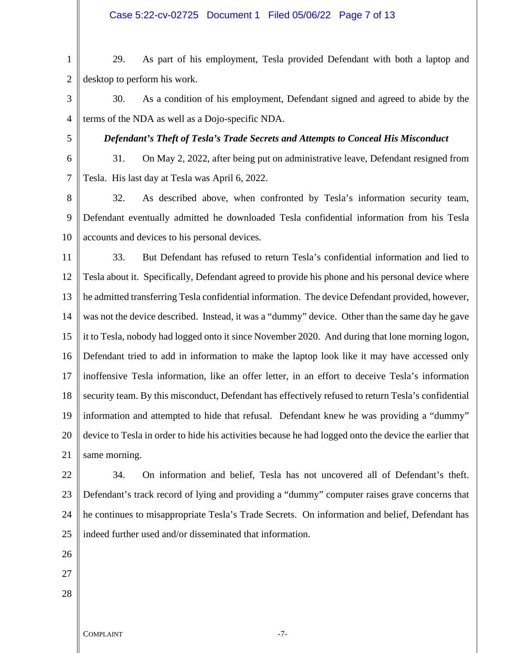## Case 5:22-cv-02725 Document 1 Filed 05/06/22 Page 7 of 13

1 2 29. As part of his employment, Tesla provided Defendant with both a laptop and desktop to perform his work.

3 4 30. As a condition of his employment, Defendant signed and agreed to abide by the terms of the NDA as well as a Dojo-specific NDA.

5

*Defendant's Theft of Tesla's Trade Secrets and Attempts to Conceal His Misconduct* 

6 7 31. On May 2, 2022, after being put on administrative leave, Defendant resigned from Tesla. His last day at Tesla was April 6, 2022.

8 9 10 32. As described above, when confronted by Tesla's information security team, Defendant eventually admitted he downloaded Tesla confidential information from his Tesla accounts and devices to his personal devices.

11 12 13 14 15 16 17 18 19 20 21 33. But Defendant has refused to return Tesla's confidential information and lied to Tesla about it. Specifically, Defendant agreed to provide his phone and his personal device where he admitted transferring Tesla confidential information. The device Defendant provided, however, was not the device described. Instead, it was a "dummy" device. Other than the same day he gave it to Tesla, nobody had logged onto it since November 2020. And during that lone morning logon, Defendant tried to add in information to make the laptop look like it may have accessed only inoffensive Tesla information, like an offer letter, in an effort to deceive Tesla's information security team. By this misconduct, Defendant has effectively refused to return Tesla's confidential information and attempted to hide that refusal. Defendant knew he was providing a "dummy" device to Tesla in order to hide his activities because he had logged onto the device the earlier that same morning.

22 23 24 25 34. On information and belief, Tesla has not uncovered all of Defendant's theft. Defendant's track record of lying and providing a "dummy" computer raises grave concerns that he continues to misappropriate Tesla's Trade Secrets. On information and belief, Defendant has indeed further used and/or disseminated that information.

- 26
- 27
- 28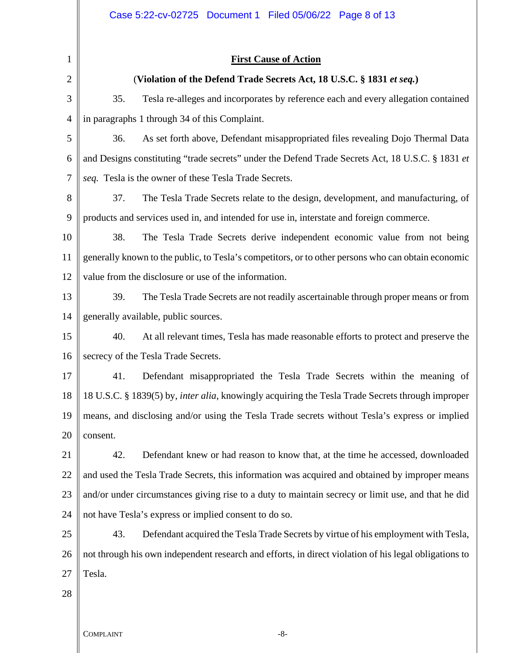| 1              | <b>First Cause of Action</b>                                                                             |  |  |
|----------------|----------------------------------------------------------------------------------------------------------|--|--|
| $\overline{2}$ | (Violation of the Defend Trade Secrets Act, 18 U.S.C. § 1831 et seq.)                                    |  |  |
| 3              | 35.<br>Tesla re-alleges and incorporates by reference each and every allegation contained                |  |  |
| $\overline{4}$ | in paragraphs 1 through 34 of this Complaint.                                                            |  |  |
| 5              | As set forth above, Defendant misappropriated files revealing Dojo Thermal Data<br>36.                   |  |  |
| 6              | and Designs constituting "trade secrets" under the Defend Trade Secrets Act, 18 U.S.C. § 1831 et         |  |  |
| 7              | seq. Tesla is the owner of these Tesla Trade Secrets.                                                    |  |  |
| 8              | 37.<br>The Tesla Trade Secrets relate to the design, development, and manufacturing, of                  |  |  |
| 9              | products and services used in, and intended for use in, interstate and foreign commerce.                 |  |  |
| 10             | 38.<br>The Tesla Trade Secrets derive independent economic value from not being                          |  |  |
| 11             | generally known to the public, to Tesla's competitors, or to other persons who can obtain economic       |  |  |
| 12             | value from the disclosure or use of the information.                                                     |  |  |
| 13             | 39.<br>The Tesla Trade Secrets are not readily ascertainable through proper means or from                |  |  |
| 14             | generally available, public sources.                                                                     |  |  |
| 15             | 40.<br>At all relevant times, Tesla has made reasonable efforts to protect and preserve the              |  |  |
| 16             | secrecy of the Tesla Trade Secrets.                                                                      |  |  |
| 17             | 41.<br>Defendant misappropriated the Tesla Trade Secrets within the meaning of                           |  |  |
| 18             | 18 U.S.C. § 1839(5) by, <i>inter alia</i> , knowingly acquiring the Tesla Trade Secrets through improper |  |  |
| 19             | means, and disclosing and/or using the Tesla Trade secrets without Tesla's express or implied            |  |  |
| 20             | consent.                                                                                                 |  |  |
| 21             | 42.<br>Defendant knew or had reason to know that, at the time he accessed, downloaded                    |  |  |
| 22             | and used the Tesla Trade Secrets, this information was acquired and obtained by improper means           |  |  |
| 23             | and/or under circumstances giving rise to a duty to maintain secrecy or limit use, and that he did       |  |  |
| 24             | not have Tesla's express or implied consent to do so.                                                    |  |  |
| 25             | 43.<br>Defendant acquired the Tesla Trade Secrets by virtue of his employment with Tesla,                |  |  |
| 26             | not through his own independent research and efforts, in direct violation of his legal obligations to    |  |  |
| 27             | Tesla.                                                                                                   |  |  |
| 28             |                                                                                                          |  |  |
|                |                                                                                                          |  |  |

Ш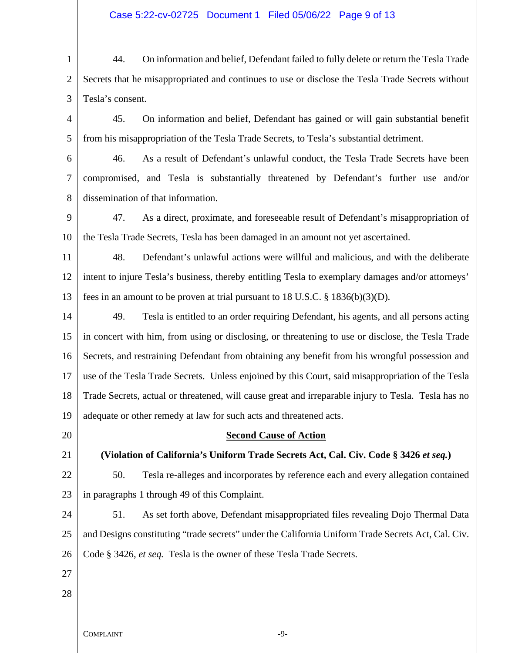## Case 5:22-cv-02725 Document 1 Filed 05/06/22 Page 9 of 13

- 1 2 3 4 5 6 7 8 9 10 11 44. On information and belief, Defendant failed to fully delete or return the Tesla Trade Secrets that he misappropriated and continues to use or disclose the Tesla Trade Secrets without Tesla's consent. 45. On information and belief, Defendant has gained or will gain substantial benefit from his misappropriation of the Tesla Trade Secrets, to Tesla's substantial detriment. 46. As a result of Defendant's unlawful conduct, the Tesla Trade Secrets have been compromised, and Tesla is substantially threatened by Defendant's further use and/or dissemination of that information. 47. As a direct, proximate, and foreseeable result of Defendant's misappropriation of the Tesla Trade Secrets, Tesla has been damaged in an amount not yet ascertained. 48. Defendant's unlawful actions were willful and malicious, and with the deliberate
- 12 13 intent to injure Tesla's business, thereby entitling Tesla to exemplary damages and/or attorneys' fees in an amount to be proven at trial pursuant to 18 U.S.C. § 1836(b)(3)(D).
- 14 15 16 17 18 19 49. Tesla is entitled to an order requiring Defendant, his agents, and all persons acting in concert with him, from using or disclosing, or threatening to use or disclose, the Tesla Trade Secrets, and restraining Defendant from obtaining any benefit from his wrongful possession and use of the Tesla Trade Secrets. Unless enjoined by this Court, said misappropriation of the Tesla Trade Secrets, actual or threatened, will cause great and irreparable injury to Tesla. Tesla has no adequate or other remedy at law for such acts and threatened acts.
- 20
- 21

# **(Violation of California's Uniform Trade Secrets Act, Cal. Civ. Code § 3426** *et seq.***)**

**Second Cause of Action**

- 22 23 50. Tesla re-alleges and incorporates by reference each and every allegation contained in paragraphs 1 through 49 of this Complaint.
- 24 25 26 51. As set forth above, Defendant misappropriated files revealing Dojo Thermal Data and Designs constituting "trade secrets" under the California Uniform Trade Secrets Act, Cal. Civ. Code § 3426, *et seq.* Tesla is the owner of these Tesla Trade Secrets.
- 27
- 28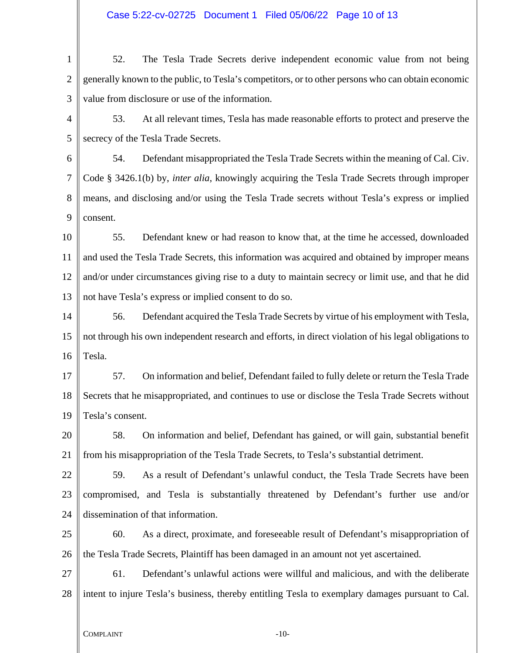## Case 5:22-cv-02725 Document 1 Filed 05/06/22 Page 10 of 13

1  $\mathfrak{D}$ 3 4 5 6 7 8 9 10 11 12 13 14 15 16 17 18 19 20 21 22 23 24 25 26 27 28 52. The Tesla Trade Secrets derive independent economic value from not being generally known to the public, to Tesla's competitors, or to other persons who can obtain economic value from disclosure or use of the information. 53. At all relevant times, Tesla has made reasonable efforts to protect and preserve the secrecy of the Tesla Trade Secrets. 54. Defendant misappropriated the Tesla Trade Secrets within the meaning of Cal. Civ. Code § 3426.1(b) by, *inter alia*, knowingly acquiring the Tesla Trade Secrets through improper means, and disclosing and/or using the Tesla Trade secrets without Tesla's express or implied consent. 55. Defendant knew or had reason to know that, at the time he accessed, downloaded and used the Tesla Trade Secrets, this information was acquired and obtained by improper means and/or under circumstances giving rise to a duty to maintain secrecy or limit use, and that he did not have Tesla's express or implied consent to do so. 56. Defendant acquired the Tesla Trade Secrets by virtue of his employment with Tesla, not through his own independent research and efforts, in direct violation of his legal obligations to Tesla. 57. On information and belief, Defendant failed to fully delete or return the Tesla Trade Secrets that he misappropriated, and continues to use or disclose the Tesla Trade Secrets without Tesla's consent. 58. On information and belief, Defendant has gained, or will gain, substantial benefit from his misappropriation of the Tesla Trade Secrets, to Tesla's substantial detriment. 59. As a result of Defendant's unlawful conduct, the Tesla Trade Secrets have been compromised, and Tesla is substantially threatened by Defendant's further use and/or dissemination of that information. 60. As a direct, proximate, and foreseeable result of Defendant's misappropriation of the Tesla Trade Secrets, Plaintiff has been damaged in an amount not yet ascertained. 61. Defendant's unlawful actions were willful and malicious, and with the deliberate intent to injure Tesla's business, thereby entitling Tesla to exemplary damages pursuant to Cal.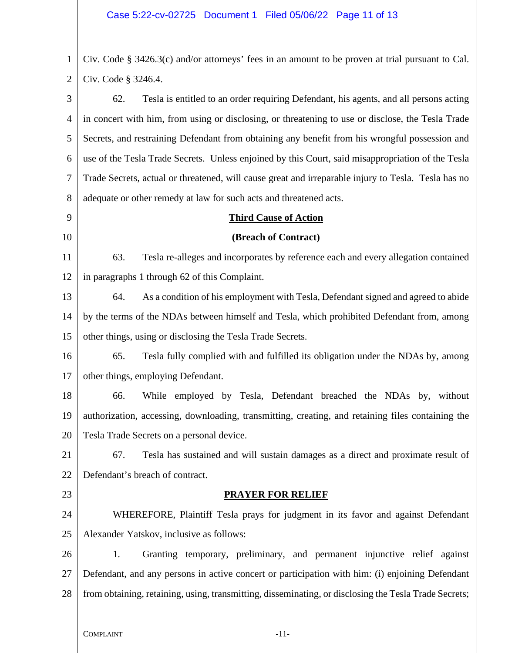1 2 Civ. Code § 3426.3(c) and/or attorneys' fees in an amount to be proven at trial pursuant to Cal. Civ. Code § 3246.4.

3 4 5 6 7 8 62. Tesla is entitled to an order requiring Defendant, his agents, and all persons acting in concert with him, from using or disclosing, or threatening to use or disclose, the Tesla Trade Secrets, and restraining Defendant from obtaining any benefit from his wrongful possession and use of the Tesla Trade Secrets. Unless enjoined by this Court, said misappropriation of the Tesla Trade Secrets, actual or threatened, will cause great and irreparable injury to Tesla. Tesla has no adequate or other remedy at law for such acts and threatened acts.

9 10

# **Third Cause of Action**

# **(Breach of Contract)**

11 12 63. Tesla re-alleges and incorporates by reference each and every allegation contained in paragraphs 1 through 62 of this Complaint.

13 14 15 64. As a condition of his employment with Tesla, Defendant signed and agreed to abide by the terms of the NDAs between himself and Tesla, which prohibited Defendant from, among other things, using or disclosing the Tesla Trade Secrets.

16 17 65. Tesla fully complied with and fulfilled its obligation under the NDAs by, among other things, employing Defendant.

18 19 20 66. While employed by Tesla, Defendant breached the NDAs by, without authorization, accessing, downloading, transmitting, creating, and retaining files containing the Tesla Trade Secrets on a personal device.

21 22 67. Tesla has sustained and will sustain damages as a direct and proximate result of Defendant's breach of contract.

23

# **PRAYER FOR RELIEF**

24 25 WHEREFORE, Plaintiff Tesla prays for judgment in its favor and against Defendant Alexander Yatskov, inclusive as follows:

26 27 28 1. Granting temporary, preliminary, and permanent injunctive relief against Defendant, and any persons in active concert or participation with him: (i) enjoining Defendant from obtaining, retaining, using, transmitting, disseminating, or disclosing the Tesla Trade Secrets;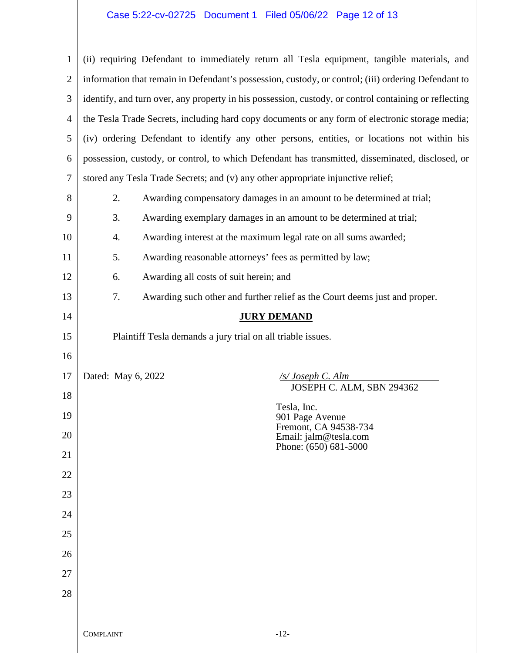# Case 5:22-cv-02725 Document 1 Filed 05/06/22 Page 12 of 13

 $\parallel$ 

| $\mathbf{1}$ | (ii) requiring Defendant to immediately return all Tesla equipment, tangible materials, and           |  |
|--------------|-------------------------------------------------------------------------------------------------------|--|
| $\mathbf{2}$ | information that remain in Defendant's possession, custody, or control; (iii) ordering Defendant to   |  |
| 3            | identify, and turn over, any property in his possession, custody, or control containing or reflecting |  |
| 4            | the Tesla Trade Secrets, including hard copy documents or any form of electronic storage media;       |  |
| 5            | (iv) ordering Defendant to identify any other persons, entities, or locations not within his          |  |
| 6            | possession, custody, or control, to which Defendant has transmitted, disseminated, disclosed, or      |  |
| 7            | stored any Tesla Trade Secrets; and (v) any other appropriate injunctive relief;                      |  |
| 8            | Awarding compensatory damages in an amount to be determined at trial;<br>2.                           |  |
| 9            | Awarding exemplary damages in an amount to be determined at trial;<br>3.                              |  |
| 10           | Awarding interest at the maximum legal rate on all sums awarded;<br>4.                                |  |
| 11           | Awarding reasonable attorneys' fees as permitted by law;<br>5.                                        |  |
| 12           | Awarding all costs of suit herein; and<br>6.                                                          |  |
| 13           | 7.<br>Awarding such other and further relief as the Court deems just and proper.                      |  |
| 14           | <b>JURY DEMAND</b>                                                                                    |  |
| 15           | Plaintiff Tesla demands a jury trial on all triable issues.                                           |  |
| 16           |                                                                                                       |  |
| 17           | Dated: May 6, 2022<br>$\sqrt{s}/\textit{Joseph C. Alm}$<br>JOSEPH C. ALM, SBN 294362                  |  |
| 18           | Tesla, Inc.                                                                                           |  |
| 19           | 901 Page Avenue<br>Fremont, CA 94538-734                                                              |  |
| 20           | Email: jalm@tesla.com<br>Phone: (650) 681-5000                                                        |  |
| 21           |                                                                                                       |  |
| 22           |                                                                                                       |  |
| 23           |                                                                                                       |  |
| 24           |                                                                                                       |  |
| 25           |                                                                                                       |  |
| 26           |                                                                                                       |  |
| 27           |                                                                                                       |  |
| 28           |                                                                                                       |  |
|              |                                                                                                       |  |
|              | <b>COMPLAINT</b><br>$-12-$                                                                            |  |